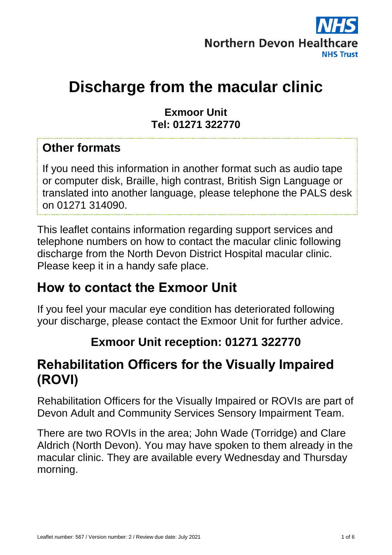

# **Discharge from the macular clinic**

#### **Exmoor Unit Tel: 01271 322770**

#### **Other formats**

If you need this information in another format such as audio tape or computer disk, Braille, high contrast, British Sign Language or translated into another language, please telephone the PALS desk on 01271 314090.

This leaflet contains information regarding support services and telephone numbers on how to contact the macular clinic following discharge from the North Devon District Hospital macular clinic. Please keep it in a handy safe place.

### **How to contact the Exmoor Unit**

If you feel your macular eye condition has deteriorated following your discharge, please contact the Exmoor Unit for further advice.

#### **Exmoor Unit reception: 01271 322770**

### **Rehabilitation Officers for the Visually Impaired (ROVI)**

Rehabilitation Officers for the Visually Impaired or ROVIs are part of Devon Adult and Community Services Sensory Impairment Team.

There are two ROVIs in the area; John Wade (Torridge) and Clare Aldrich (North Devon). You may have spoken to them already in the macular clinic. They are available every Wednesday and Thursday morning.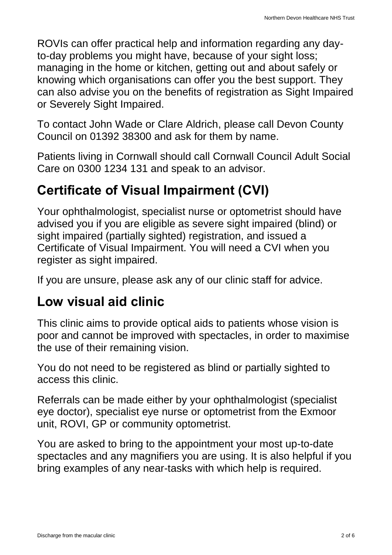ROVIs can offer practical help and information regarding any dayto-day problems you might have, because of your sight loss; managing in the home or kitchen, getting out and about safely or knowing which organisations can offer you the best support. They can also advise you on the benefits of registration as Sight Impaired or Severely Sight Impaired.

To contact John Wade or Clare Aldrich, please call Devon County Council on 01392 38300 and ask for them by name.

Patients living in Cornwall should call Cornwall Council Adult Social Care on 0300 1234 131 and speak to an advisor.

## **Certificate of Visual Impairment (CVI)**

Your ophthalmologist, specialist nurse or optometrist should have advised you if you are eligible as severe sight impaired (blind) or sight impaired (partially sighted) registration, and issued a Certificate of Visual Impairment. You will need a CVI when you register as sight impaired.

If you are unsure, please ask any of our clinic staff for advice.

## **Low visual aid clinic**

This clinic aims to provide optical aids to patients whose vision is poor and cannot be improved with spectacles, in order to maximise the use of their remaining vision.

You do not need to be registered as blind or partially sighted to access this clinic.

Referrals can be made either by your ophthalmologist (specialist eye doctor), specialist eye nurse or optometrist from the Exmoor unit, ROVI, GP or community optometrist.

You are asked to bring to the appointment your most up-to-date spectacles and any magnifiers you are using. It is also helpful if you bring examples of any near-tasks with which help is required.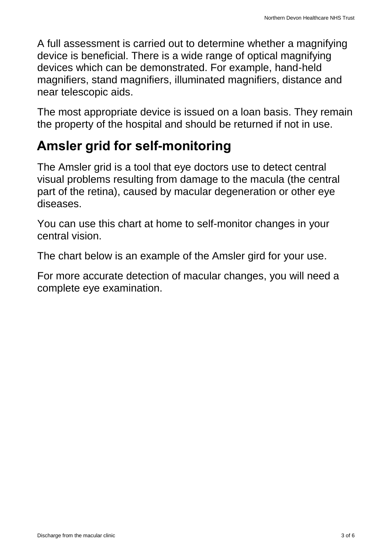A full assessment is carried out to determine whether a magnifying device is beneficial. There is a wide range of optical magnifying devices which can be demonstrated. For example, hand-held magnifiers, stand magnifiers, illuminated magnifiers, distance and near telescopic aids.

The most appropriate device is issued on a loan basis. They remain the property of the hospital and should be returned if not in use.

## **Amsler grid for self-monitoring**

The Amsler grid is a tool that eye doctors use to detect central visual problems resulting from damage to the macula (the central part of the retina), caused by macular degeneration or other eye diseases.

You can use this chart at home to self-monitor changes in your central vision.

The chart below is an example of the Amsler gird for your use.

For more accurate detection of macular changes, you will need a complete eye examination.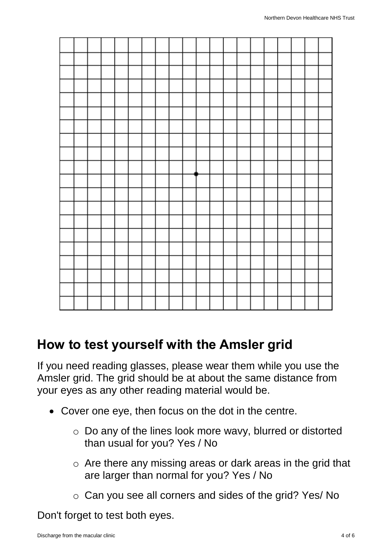

### **How to test yourself with the Amsler grid**

If you need reading glasses, please wear them while you use the Amsler grid. The grid should be at about the same distance from your eyes as any other reading material would be.

- Cover one eye, then focus on the dot in the centre.
	- o Do any of the lines look more wavy, blurred or distorted than usual for you? Yes / No
	- o Are there any missing areas or dark areas in the grid that are larger than normal for you? Yes / No
	- o Can you see all corners and sides of the grid? Yes/ No

Don't forget to test both eyes.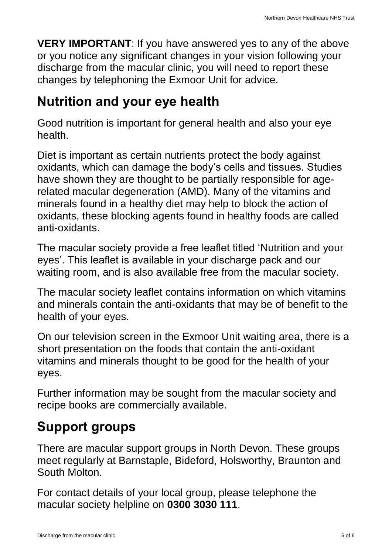**VERY IMPORTANT**: If you have answered yes to any of the above or you notice any significant changes in your vision following your discharge from the macular clinic, you will need to report these changes by telephoning the Exmoor Unit for advice.

## **Nutrition and your eye health**

Good nutrition is important for general health and also your eye health.

Diet is important as certain nutrients protect the body against oxidants, which can damage the body's cells and tissues. Studies have shown they are thought to be partially responsible for agerelated macular degeneration (AMD). Many of the vitamins and minerals found in a healthy diet may help to block the action of oxidants, these blocking agents found in healthy foods are called anti-oxidants.

The macular society provide a free leaflet titled ['Nutrition and your](http://www.macularsociety.org/Resources/Macular%20Disease/Documents/PDF/How%20We%20Help/accss%20Nutrition.pdf)  [eyes'](http://www.macularsociety.org/Resources/Macular%20Disease/Documents/PDF/How%20We%20Help/accss%20Nutrition.pdf). This leaflet is available in your discharge pack and our waiting room, and is also available free from the macular society.

The macular society leaflet contains information on which vitamins and minerals contain the anti-oxidants that may be of benefit to the health of your eyes.

On our television screen in the Exmoor Unit waiting area, there is a short presentation on the foods that contain the anti-oxidant vitamins and minerals thought to be good for the health of your eyes.

Further information may be sought from the macular society and recipe books are commercially available.

## **Support groups**

There are macular support groups in North Devon. These groups meet regularly at Barnstaple, Bideford, Holsworthy, Braunton and South Molton.

For contact details of your local group, please telephone the macular society helpline on **0300 3030 111**.